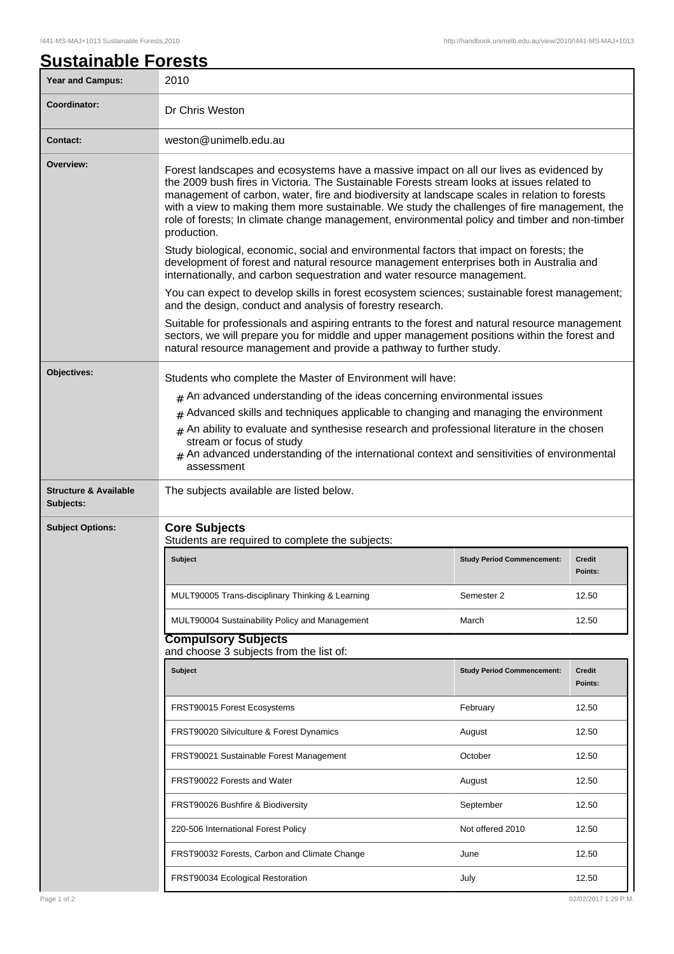## **Sustainable Forests**

| <b>Year and Campus:</b>                       | 2010                                                                                                                                                                                                                                                                                                                                                                                                                                                                                                                                                                                                                                                                                                                                                                                                                                                                                                                                     |                                   |                          |  |  |
|-----------------------------------------------|------------------------------------------------------------------------------------------------------------------------------------------------------------------------------------------------------------------------------------------------------------------------------------------------------------------------------------------------------------------------------------------------------------------------------------------------------------------------------------------------------------------------------------------------------------------------------------------------------------------------------------------------------------------------------------------------------------------------------------------------------------------------------------------------------------------------------------------------------------------------------------------------------------------------------------------|-----------------------------------|--------------------------|--|--|
| Coordinator:                                  | Dr Chris Weston                                                                                                                                                                                                                                                                                                                                                                                                                                                                                                                                                                                                                                                                                                                                                                                                                                                                                                                          |                                   |                          |  |  |
| <b>Contact:</b>                               | weston@unimelb.edu.au                                                                                                                                                                                                                                                                                                                                                                                                                                                                                                                                                                                                                                                                                                                                                                                                                                                                                                                    |                                   |                          |  |  |
| Overview:                                     | Forest landscapes and ecosystems have a massive impact on all our lives as evidenced by<br>the 2009 bush fires in Victoria. The Sustainable Forests stream looks at issues related to<br>management of carbon, water, fire and biodiversity at landscape scales in relation to forests<br>with a view to making them more sustainable. We study the challenges of fire management, the<br>role of forests; In climate change management, environmental policy and timber and non-timber<br>production.<br>Study biological, economic, social and environmental factors that impact on forests; the<br>development of forest and natural resource management enterprises both in Australia and<br>internationally, and carbon sequestration and water resource management.<br>You can expect to develop skills in forest ecosystem sciences; sustainable forest management;<br>and the design, conduct and analysis of forestry research. |                                   |                          |  |  |
|                                               |                                                                                                                                                                                                                                                                                                                                                                                                                                                                                                                                                                                                                                                                                                                                                                                                                                                                                                                                          |                                   |                          |  |  |
|                                               |                                                                                                                                                                                                                                                                                                                                                                                                                                                                                                                                                                                                                                                                                                                                                                                                                                                                                                                                          |                                   |                          |  |  |
|                                               | Suitable for professionals and aspiring entrants to the forest and natural resource management<br>sectors, we will prepare you for middle and upper management positions within the forest and<br>natural resource management and provide a pathway to further study.                                                                                                                                                                                                                                                                                                                                                                                                                                                                                                                                                                                                                                                                    |                                   |                          |  |  |
| Objectives:                                   | Students who complete the Master of Environment will have:<br>$#$ An advanced understanding of the ideas concerning environmental issues<br>Advanced skills and techniques applicable to changing and managing the environment<br>#                                                                                                                                                                                                                                                                                                                                                                                                                                                                                                                                                                                                                                                                                                      |                                   |                          |  |  |
|                                               |                                                                                                                                                                                                                                                                                                                                                                                                                                                                                                                                                                                                                                                                                                                                                                                                                                                                                                                                          |                                   |                          |  |  |
|                                               |                                                                                                                                                                                                                                                                                                                                                                                                                                                                                                                                                                                                                                                                                                                                                                                                                                                                                                                                          |                                   |                          |  |  |
|                                               | An ability to evaluate and synthesise research and professional literature in the chosen<br>#<br>stream or focus of study<br>An advanced understanding of the international context and sensitivities of environmental<br>assessment                                                                                                                                                                                                                                                                                                                                                                                                                                                                                                                                                                                                                                                                                                     |                                   |                          |  |  |
| <b>Structure &amp; Available</b><br>Subjects: | The subjects available are listed below.                                                                                                                                                                                                                                                                                                                                                                                                                                                                                                                                                                                                                                                                                                                                                                                                                                                                                                 |                                   |                          |  |  |
| <b>Subject Options:</b>                       | <b>Core Subjects</b><br>Students are required to complete the subjects:                                                                                                                                                                                                                                                                                                                                                                                                                                                                                                                                                                                                                                                                                                                                                                                                                                                                  |                                   |                          |  |  |
|                                               | <b>Subject</b>                                                                                                                                                                                                                                                                                                                                                                                                                                                                                                                                                                                                                                                                                                                                                                                                                                                                                                                           | <b>Study Period Commencement:</b> | <b>Credit</b><br>Points: |  |  |
|                                               | MULT90005 Trans-disciplinary Thinking & Learning                                                                                                                                                                                                                                                                                                                                                                                                                                                                                                                                                                                                                                                                                                                                                                                                                                                                                         | Semester 2                        | 12.50                    |  |  |
|                                               | MULT90004 Sustainability Policy and Management                                                                                                                                                                                                                                                                                                                                                                                                                                                                                                                                                                                                                                                                                                                                                                                                                                                                                           | March                             | 12.50                    |  |  |
|                                               | <b>Compulsory Subjects</b><br>and choose 3 subjects from the list of:                                                                                                                                                                                                                                                                                                                                                                                                                                                                                                                                                                                                                                                                                                                                                                                                                                                                    |                                   |                          |  |  |
|                                               | <b>Subject</b>                                                                                                                                                                                                                                                                                                                                                                                                                                                                                                                                                                                                                                                                                                                                                                                                                                                                                                                           | <b>Study Period Commencement:</b> | <b>Credit</b>            |  |  |
|                                               |                                                                                                                                                                                                                                                                                                                                                                                                                                                                                                                                                                                                                                                                                                                                                                                                                                                                                                                                          |                                   | Points:                  |  |  |
|                                               | FRST90015 Forest Ecosystems                                                                                                                                                                                                                                                                                                                                                                                                                                                                                                                                                                                                                                                                                                                                                                                                                                                                                                              | February                          | 12.50                    |  |  |
|                                               | FRST90020 Silviculture & Forest Dynamics                                                                                                                                                                                                                                                                                                                                                                                                                                                                                                                                                                                                                                                                                                                                                                                                                                                                                                 | August                            | 12.50                    |  |  |
|                                               | FRST90021 Sustainable Forest Management                                                                                                                                                                                                                                                                                                                                                                                                                                                                                                                                                                                                                                                                                                                                                                                                                                                                                                  | October                           | 12.50                    |  |  |
|                                               | FRST90022 Forests and Water                                                                                                                                                                                                                                                                                                                                                                                                                                                                                                                                                                                                                                                                                                                                                                                                                                                                                                              | August                            | 12.50                    |  |  |
|                                               | FRST90026 Bushfire & Biodiversity                                                                                                                                                                                                                                                                                                                                                                                                                                                                                                                                                                                                                                                                                                                                                                                                                                                                                                        | September                         | 12.50                    |  |  |
|                                               | 220-506 International Forest Policy                                                                                                                                                                                                                                                                                                                                                                                                                                                                                                                                                                                                                                                                                                                                                                                                                                                                                                      | Not offered 2010                  | 12.50                    |  |  |
|                                               | FRST90032 Forests, Carbon and Climate Change                                                                                                                                                                                                                                                                                                                                                                                                                                                                                                                                                                                                                                                                                                                                                                                                                                                                                             | June                              | 12.50                    |  |  |
|                                               | FRST90034 Ecological Restoration                                                                                                                                                                                                                                                                                                                                                                                                                                                                                                                                                                                                                                                                                                                                                                                                                                                                                                         | July                              | 12.50                    |  |  |